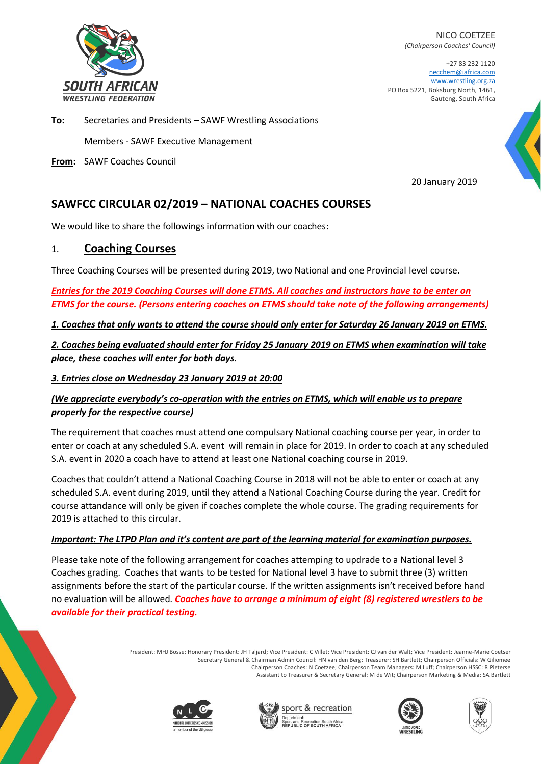

NICO COETZEE *(Chairperson Coaches' Council)*

+27 83 232 1120 necchem@iafrica.com [www.wrestling.org.za](http://www.wrestling.org.za/) PO Box 5221, Boksburg North, 1461, Gauteng, South Africa

**To:** Secretaries and Presidents – SAWF Wrestling Associations

Members - SAWF Executive Management

**From:** SAWF Coaches Council

20 January 2019

## **SAWFCC CIRCULAR 02/2019 – NATIONAL COACHES COURSES**

We would like to share the followings information with our coaches:

### 1. **Coaching Courses**

Three Coaching Courses will be presented during 2019, two National and one Provincial level course.

*Entries for the 2019 Coaching Courses will done ETMS. All coaches and instructors have to be enter on ETMS for the course. (Persons entering coaches on ETMS should take note of the following arrangements)* 

*1. Coaches that only wants to attend the course should only enter for Saturday 26 January 2019 on ETMS.*

*2. Coaches being evaluated should enter for Friday 25 January 2019 on ETMS when examination will take place, these coaches will enter for both days.* 

*3. Entries close on Wednesday 23 January 2019 at 20:00*

#### *(We appreciate everybody's co-operation with the entries on ETMS, which will enable us to prepare properly for the respective course)*

The requirement that coaches must attend one compulsary National coaching course per year, in order to enter or coach at any scheduled S.A. event will remain in place for 2019. In order to coach at any scheduled S.A. event in 2020 a coach have to attend at least one National coaching course in 2019.

Coaches that couldn't attend a National Coaching Course in 2018 will not be able to enter or coach at any scheduled S.A. event during 2019, until they attend a National Coaching Course during the year. Credit for course attandance will only be given if coaches complete the whole course. The grading requirements for 2019 is attached to this circular.

#### *Important: The LTPD Plan and it's content are part of the learning material for examination purposes.*

Please take note of the following arrangement for coaches attemping to updrade to a National level 3 Coaches grading. Coaches that wants to be tested for National level 3 have to submit three (3) written assignments before the start of the particular course. If the written assignments isn't received before hand no evaluation will be allowed. *Coaches have to arrange a minimum of eight (8) registered wrestlers to be available for their practical testing.*

> President: MHJ Bosse; Honorary President: JH Taljard; Vice President: C Villet; Vice President: CJ van der Walt; Vice President: Jeanne-Marie Coetser Secretary General & Chairman Admin Council: HN van den Berg; Treasurer: SH Bartlett; Chairperson Officials: W Giliomee Chairperson Coaches: N Coetzee; Chairperson Team Managers: M Luff; Chairperson HSSC: R Pieterse Assistant to Treasurer & Secretary General: M de Wit; Chairperson Marketing & Media: SA Bartlett







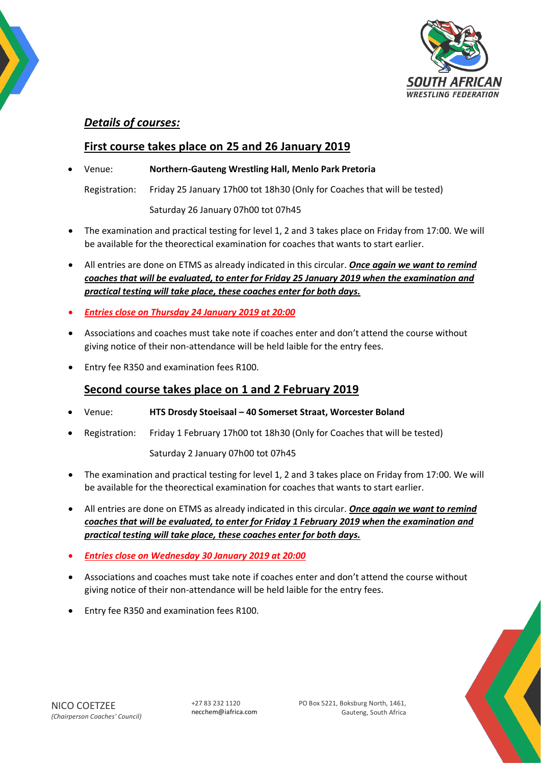

### *Details of courses:*

## **First course takes place on 25 and 26 January 2019**

• Venue: **Northern-Gauteng Wrestling Hall, Menlo Park Pretoria**

Registration: Friday 25 January 17h00 tot 18h30 (Only for Coaches that will be tested)

Saturday 26 January 07h00 tot 07h45

- The examination and practical testing for level 1, 2 and 3 takes place on Friday from 17:00. We will be available for the theorectical examination for coaches that wants to start earlier.
- All entries are done on ETMS as already indicated in this circular. *Once again we want to remind coaches that will be evaluated, to enter for Friday 25 January 2019 when the examination and practical testing will take place, these coaches enter for both days.*
- *Entries close on Thursday 24 January 2019 at 20:00*
- Associations and coaches must take note if coaches enter and don't attend the course without giving notice of their non-attendance will be held laible for the entry fees.
- Entry fee R350 and examination fees R100.

### **Second course takes place on 1 and 2 February 2019**

- Venue: **HTS Drosdy Stoeisaal – 40 Somerset Straat, Worcester Boland**
- Registration: Friday 1 February 17h00 tot 18h30 (Only for Coaches that will be tested)

Saturday 2 January 07h00 tot 07h45

- The examination and practical testing for level 1, 2 and 3 takes place on Friday from 17:00. We will be available for the theorectical examination for coaches that wants to start earlier.
- All entries are done on ETMS as already indicated in this circular. *Once again we want to remind coaches that will be evaluated, to enter for Friday 1 February 2019 when the examination and practical testing will take place, these coaches enter for both days.*
- *Entries close on Wednesday 30 January 2019 at 20:00*
- Associations and coaches must take note if coaches enter and don't attend the course without giving notice of their non-attendance will be held laible for the entry fees.
- Entry fee R350 and examination fees R100.